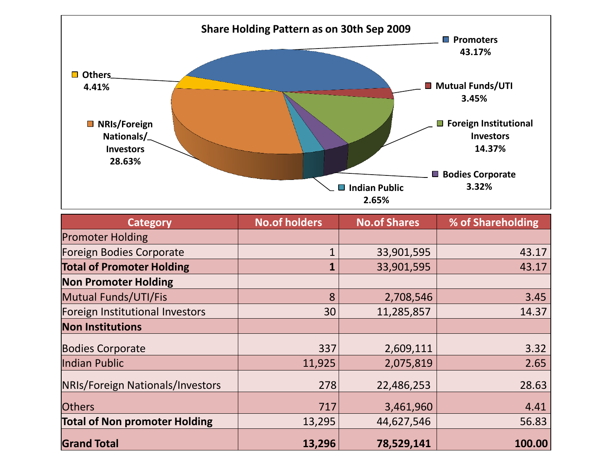

| <b>Category</b>                      | <b>No.of holders</b> | <b>No.of Shares</b> | % of Shareholding |  |
|--------------------------------------|----------------------|---------------------|-------------------|--|
| <b>Promoter Holding</b>              |                      |                     |                   |  |
| <b>Foreign Bodies Corporate</b>      |                      | 33,901,595          | 43.17             |  |
| <b>Total of Promoter Holding</b>     | 1                    | 33,901,595          | 43.17             |  |
| <b>Non Promoter Holding</b>          |                      |                     |                   |  |
| Mutual Funds/UTI/Fis                 | 8                    | 2,708,546           | 3.45              |  |
| Foreign Institutional Investors      | 30                   | 11,285,857          | 14.37             |  |
| <b>Non Institutions</b>              |                      |                     |                   |  |
| <b>Bodies Corporate</b>              | 337                  | 2,609,111           | 3.32              |  |
| Indian Public                        | 11,925               | 2,075,819           | 2.65              |  |
| NRIs/Foreign Nationals/Investors     | 278                  | 22,486,253          | 28.63             |  |
| <b>Others</b>                        | 717                  | 3,461,960           | 4.41              |  |
| <b>Total of Non promoter Holding</b> | 13,295               | 44,627,546          | 56.83             |  |
| <b>Grand Total</b>                   | 13,296               | 78,529,141          | 100.00            |  |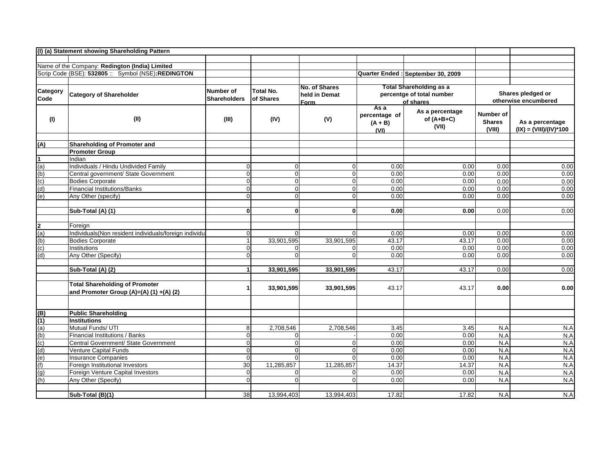|                         | (I) (a) Statement showing Shareholding Pattern                                   |                     |                  |                |                                            |                                          |                                      |                                              |
|-------------------------|----------------------------------------------------------------------------------|---------------------|------------------|----------------|--------------------------------------------|------------------------------------------|--------------------------------------|----------------------------------------------|
|                         |                                                                                  |                     |                  |                |                                            |                                          |                                      |                                              |
|                         | Name of the Company: Redington (India) Limited                                   |                     |                  |                |                                            |                                          |                                      |                                              |
|                         | Scrip Code (BSE): 532805 :: Symbol (NSE):REDINGTON                               |                     |                  |                |                                            | Quarter Ended : September 30, 2009       |                                      |                                              |
|                         |                                                                                  |                     |                  | No. of Shares  |                                            | <b>Total Shareholding as a</b>           |                                      |                                              |
| Category                | <b>Category of Shareholder</b>                                                   | Number of           | Total No.        | held in Demat  |                                            | percentge of total number                |                                      | Shares pledged or                            |
| Code                    |                                                                                  | <b>Shareholders</b> | of Shares        | <u>Form</u>    |                                            | of shares                                |                                      | otherwise encumbered                         |
| (1)                     | (II)                                                                             | (III)               | (IV)             | (V)            | As a<br>percentage of<br>$(A + B)$<br>(VI) | As a percentage<br>of $(A+B+C)$<br>(VII) | Number of<br><b>Shares</b><br>(VIII) | As a percentage<br>$(IX) = (VIII)/(IV)^*100$ |
| (A)                     | Shareholding of Promoter and                                                     |                     |                  |                |                                            |                                          |                                      |                                              |
|                         | <b>Promoter Group</b>                                                            |                     |                  |                |                                            |                                          |                                      |                                              |
| $\overline{\mathbf{1}}$ | Indian                                                                           |                     |                  |                |                                            |                                          |                                      |                                              |
| (a)                     | Individuals / Hindu Undivided Family                                             | $\Omega$            | $\boldsymbol{0}$ | $\overline{0}$ | 0.00                                       | 0.00                                     | 0.00                                 | 0.00                                         |
| (b)                     | Central government/ State Government                                             | $\overline{0}$      | $\overline{0}$   | $\overline{0}$ | 0.00                                       | 0.00                                     | 0.00                                 | 0.00                                         |
| (c)                     | <b>Bodies Corporate</b>                                                          | $\Omega$            | $\mathbf 0$      | 0              | 0.00                                       | 0.00                                     | 0.00                                 | 0.00                                         |
| (d)                     | Financial Institutions/Banks                                                     | $\Omega$            | $\overline{0}$   | $\overline{0}$ | 0.00                                       | 0.00                                     | 0.00                                 | 0.00                                         |
| (e)                     | Any Other (specify)                                                              | $\Omega$            | $\Omega$         | $\overline{0}$ | 0.00                                       | 0.00                                     | 0.00                                 | 0.00                                         |
|                         | Sub-Total (A) (1)                                                                | $\mathbf{0}$        | $\mathbf{0}$     | 0              | 0.00                                       | 0.00                                     | 0.00                                 | 0.00                                         |
| 2                       | Foreign                                                                          |                     |                  |                |                                            |                                          |                                      |                                              |
| (a)                     | Individuals(Non resident individuals/foreign individu                            | $\Omega$            | $\Omega$         | $\Omega$       | 0.00                                       | 0.00                                     | 0.00                                 | 0.00                                         |
| (b)                     | <b>Bodies Corporate</b>                                                          |                     | 33,901,595       | 33,901,595     | 43.17                                      | 43.17                                    | 0.00                                 | 0.00                                         |
| (c)                     | Institutions                                                                     | $\overline{0}$      | $\Omega$         | $\Omega$       | 0.00                                       | 0.00                                     | 0.00                                 | 0.00                                         |
| (d)                     | Any Other (Specify)                                                              | $\Omega$            | $\Omega$         | $\Omega$       | 0.00                                       | 0.00                                     | 0.00                                 | 0.00                                         |
|                         | Sub-Total (A) (2)                                                                | $\mathbf{1}$        | 33,901,595       | 33,901,595     | 43.17                                      | 43.17                                    | 0.00                                 | 0.00                                         |
|                         | <b>Total Shareholding of Promoter</b><br>and Promoter Group (A)=(A) (1) +(A) (2) |                     | 33,901,595       | 33,901,595     | 43.17                                      | 43.17                                    | 0.00                                 | 0.00                                         |
|                         |                                                                                  |                     |                  |                |                                            |                                          |                                      |                                              |
| (B)                     | <b>Public Shareholding</b>                                                       |                     |                  |                |                                            |                                          |                                      |                                              |
| (1)                     | Institutions                                                                     |                     |                  |                |                                            |                                          |                                      |                                              |
| (a)                     | Mutual Funds/ UTI                                                                | 8                   | 2,708,546        | 2,708,546      | 3.45                                       | 3.45                                     | N.A                                  | N.A                                          |
| (b)                     | Financial Institutions / Banks                                                   | $\overline{0}$      | $\mathbf 0$      |                | 0.00                                       | 0.00                                     | N.A                                  | N.A                                          |
| (c)                     | Central Government/ State Government                                             | $\overline{0}$      | $\overline{0}$   | 0              | 0.00                                       | 0.00                                     | N.A                                  | N.A                                          |
| (d)                     | Venture Capital Funds                                                            | $\overline{0}$      | $\mathbf 0$      | $\overline{0}$ | 0.00                                       | 0.00                                     | N.A                                  | N.A                                          |
| (e)                     | <b>Insurance Companies</b>                                                       | $\overline{0}$      | $\Omega$         | $\Omega$       | 0.00                                       | 0.00                                     | N.A                                  | N.A                                          |
| (f)                     | Foreign Institutional Investors                                                  | 30                  | 11,285,857       | 11,285,857     | 14.37                                      | 14.37                                    | N.A                                  | N.A                                          |
| (g)                     | Foreign Venture Capital Investors                                                | $\overline{0}$      | $\Omega$         | 0              | 0.00                                       | 0.00                                     | N.A                                  | N.A                                          |
| (h)                     | Any Other (Specify)                                                              | $\Omega$            | $\Omega$         | $\Omega$       | 0.00                                       | 0.00                                     | N.A                                  | N.A                                          |
|                         | Sub-Total (B)(1)                                                                 | 38                  | 13,994,403       | 13.994.403     | 17.82                                      | 17.82                                    | N.A                                  | N.A                                          |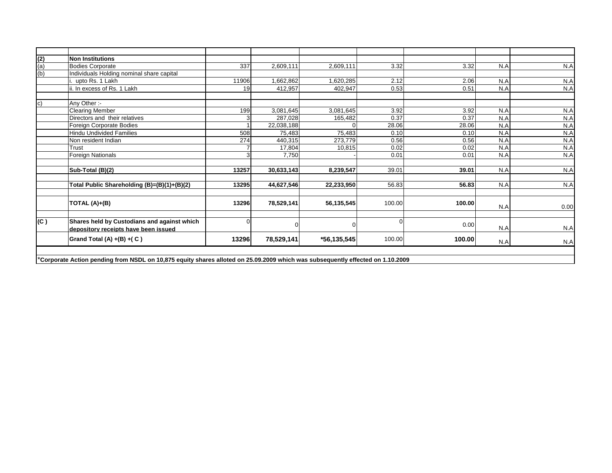| $\frac{(2)}{(a)}$<br>$\frac{(b)}{(b)}$ | <b>Non Institutions</b>                                                                                                        |       |            |                |             |        |     |      |
|----------------------------------------|--------------------------------------------------------------------------------------------------------------------------------|-------|------------|----------------|-------------|--------|-----|------|
|                                        | <b>Bodies Corporate</b>                                                                                                        | 337   | 2,609,111  | 2,609,111      | 3.32        | 3.32   | N.A | N.A  |
|                                        | Individuals Holding nominal share capital                                                                                      |       |            |                |             |        |     |      |
|                                        | upto Rs. 1 Lakh                                                                                                                | 11906 | 1,662,862  | 1,620,285      | 2.12        | 2.06   | N.A | N.A  |
|                                        | . In excess of Rs. 1 Lakh                                                                                                      | 19    | 412.957    | 402.947        | 0.53        | 0.51   | N.A | N.A  |
| lc)                                    | Any Other :-                                                                                                                   |       |            |                |             |        |     |      |
|                                        | <b>Clearing Member</b>                                                                                                         | 199   | 3,081,645  | 3,081,645      | 3.92        | 3.92   | N.A | N.A  |
|                                        | Directors and their relatives                                                                                                  |       | 287,028    | 165,482        | 0.37        | 0.37   | N.A | N.A  |
|                                        | Foreign Corporate Bodies                                                                                                       |       | 22,038,188 |                | 28.06       | 28.06  | N.A | N.A  |
|                                        | <b>Hindu Undivided Families</b>                                                                                                | 508   | 75,483     | 75,483         | 0.10        | 0.10   | N.A | N.A  |
|                                        | Non resident Indian                                                                                                            | 274   | 440,315    | 273,779        | 0.56        | 0.56   | N.A | N.A  |
|                                        | Trust                                                                                                                          |       | 17,804     | 10,815         | 0.02        | 0.02   | N.A | N.A  |
|                                        | Foreign Nationals                                                                                                              |       | 7,750      |                | 0.01        | 0.01   | N.A | N.A  |
|                                        |                                                                                                                                |       |            |                |             |        |     |      |
|                                        | Sub-Total (B)(2)                                                                                                               | 13257 | 30,633,143 | 8,239,547      | 39.01       | 39.01  | N.A | N.A  |
|                                        |                                                                                                                                |       |            |                |             |        |     |      |
|                                        | Total Public Shareholding (B)=(B)(1)+(B)(2)                                                                                    | 13295 | 44,627,546 | 22,233,950     | 56.83       | 56.83  | N.A | N.A  |
|                                        | TOTAL (A)+(B)                                                                                                                  | 13296 | 78,529,141 | 56,135,545     | 100.00      | 100.00 |     |      |
|                                        |                                                                                                                                |       |            |                |             |        | N.A | 0.00 |
|                                        |                                                                                                                                |       |            |                |             |        |     |      |
| (C)                                    | Shares held by Custodians and against which<br>depository receipts have been issued                                            |       |            | $\overline{0}$ | $\mathbf 0$ | 0.00   | N.A | N.A  |
|                                        | Grand Total (A) $+(B) + (C)$                                                                                                   | 13296 | 78,529,141 | *56,135,545    | 100.00      | 100.00 | N.A | N.A  |
|                                        |                                                                                                                                |       |            |                |             |        |     |      |
|                                        | *Corporate Action pending from NSDL on 10,875 equity shares alloted on 25.09.2009 which was subsequently effected on 1.10.2009 |       |            |                |             |        |     |      |
|                                        |                                                                                                                                |       |            |                |             |        |     |      |